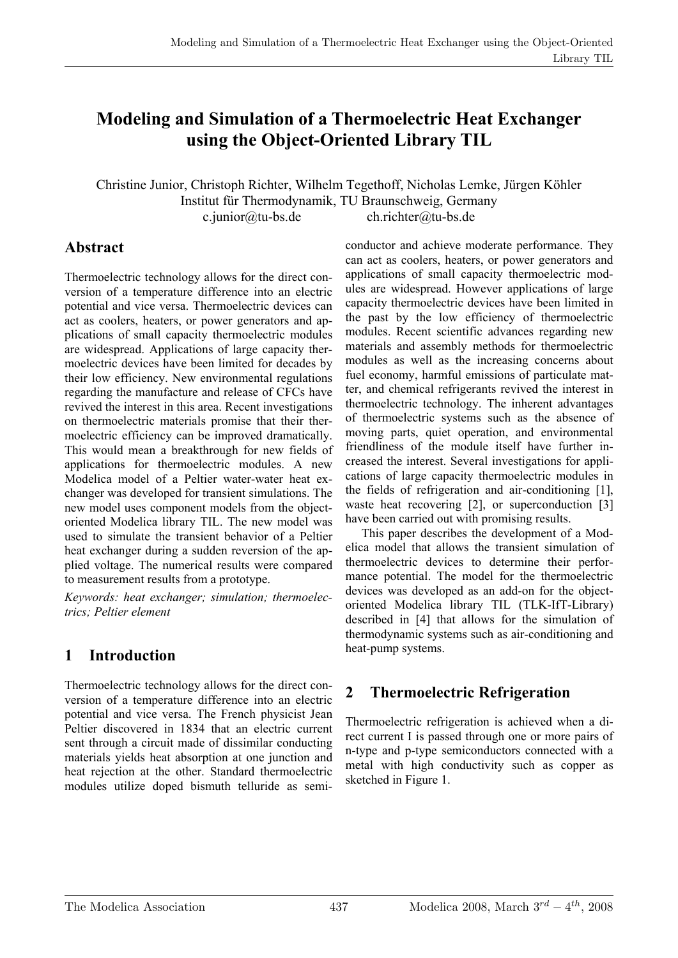# **Modeling and Simulation of a Thermoelectric Heat Exchanger using the Object-Oriented Library TIL**

Christine Junior, Christoph Richter, Wilhelm Tegethoff, Nicholas Lemke, Jürgen Köhler Institut für Thermodynamik, TU Braunschweig, Germany c.junior@tu-bs.de ch.richter@tu-bs.de

#### **Abstract**

Thermoelectric technology allows for the direct conversion of a temperature difference into an electric potential and vice versa. Thermoelectric devices can act as coolers, heaters, or power generators and applications of small capacity thermoelectric modules are widespread. Applications of large capacity thermoelectric devices have been limited for decades by their low efficiency. New environmental regulations regarding the manufacture and release of CFCs have revived the interest in this area. Recent investigations on thermoelectric materials promise that their thermoelectric efficiency can be improved dramatically. This would mean a breakthrough for new fields of applications for thermoelectric modules. A new Modelica model of a Peltier water-water heat exchanger was developed for transient simulations. The new model uses component models from the objectoriented Modelica library TIL. The new model was used to simulate the transient behavior of a Peltier heat exchanger during a sudden reversion of the applied voltage. The numerical results were compared to measurement results from a prototype.

*Keywords: heat exchanger; simulation; thermoelectrics; Peltier element* 

## **1 Introduction**

Thermoelectric technology allows for the direct conversion of a temperature difference into an electric potential and vice versa. The French physicist Jean Peltier discovered in 1834 that an electric current sent through a circuit made of dissimilar conducting materials yields heat absorption at one junction and heat rejection at the other. Standard thermoelectric modules utilize doped bismuth telluride as semi-

conductor and achieve moderate performance. They can act as coolers, heaters, or power generators and applications of small capacity thermoelectric modules are widespread. However applications of large capacity thermoelectric devices have been limited in the past by the low efficiency of thermoelectric modules. Recent scientific advances regarding new materials and assembly methods for thermoelectric modules as well as the increasing concerns about fuel economy, harmful emissions of particulate matter, and chemical refrigerants revived the interest in thermoelectric technology. The inherent advantages of thermoelectric systems such as the absence of moving parts, quiet operation, and environmental friendliness of the module itself have further increased the interest. Several investigations for applications of large capacity thermoelectric modules in the fields of refrigeration and air-conditioning [1], waste heat recovering [2], or superconduction [3] have been carried out with promising results.

This paper describes the development of a Modelica model that allows the transient simulation of thermoelectric devices to determine their performance potential. The model for the thermoelectric devices was developed as an add-on for the objectoriented Modelica library TIL (TLK-IfT-Library) described in [4] that allows for the simulation of thermodynamic systems such as air-conditioning and heat-pump systems.

## **2 Thermoelectric Refrigeration**

Thermoelectric refrigeration is achieved when a direct current I is passed through one or more pairs of n-type and p-type semiconductors connected with a metal with high conductivity such as copper as sketched in Figure 1.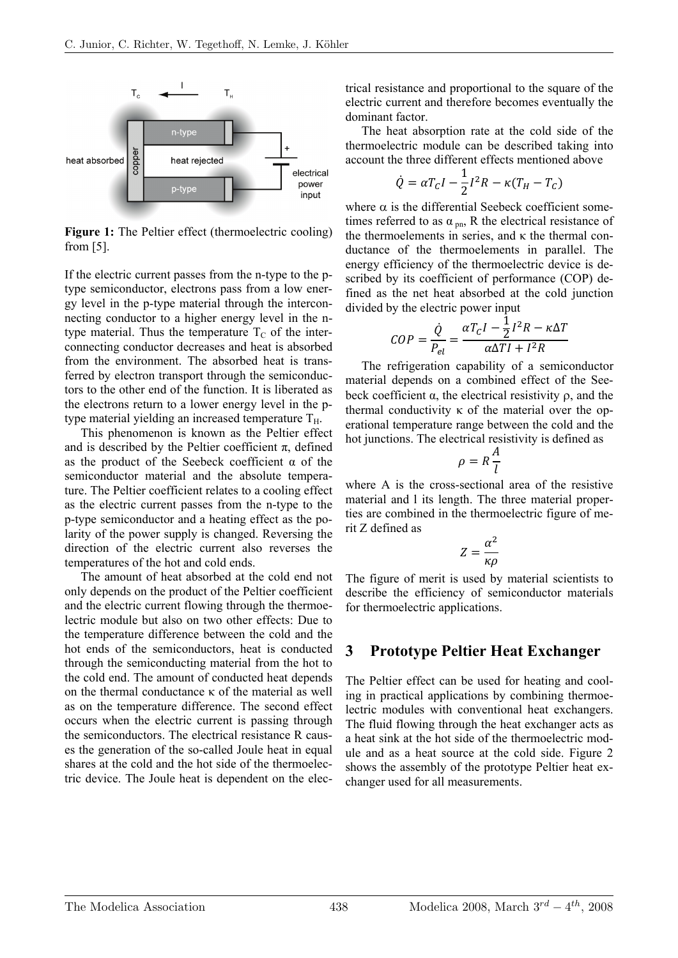

**Figure 1:** The Peltier effect (thermoelectric cooling) from [5].

If the electric current passes from the n-type to the ptype semiconductor, electrons pass from a low energy level in the p-type material through the interconnecting conductor to a higher energy level in the ntype material. Thus the temperature  $T_c$  of the interconnecting conductor decreases and heat is absorbed from the environment. The absorbed heat is transferred by electron transport through the semiconductors to the other end of the function. It is liberated as the electrons return to a lower energy level in the ptype material yielding an increased temperature  $T_H$ .

This phenomenon is known as the Peltier effect and is described by the Peltier coefficient  $\pi$ , defined as the product of the Seebeck coefficient  $\alpha$  of the semiconductor material and the absolute temperature. The Peltier coefficient relates to a cooling effect as the electric current passes from the n-type to the p-type semiconductor and a heating effect as the polarity of the power supply is changed. Reversing the direction of the electric current also reverses the temperatures of the hot and cold ends.

The amount of heat absorbed at the cold end not only depends on the product of the Peltier coefficient and the electric current flowing through the thermoelectric module but also on two other effects: Due to the temperature difference between the cold and the hot ends of the semiconductors, heat is conducted through the semiconducting material from the hot to the cold end. The amount of conducted heat depends on the thermal conductance κ of the material as well as on the temperature difference. The second effect occurs when the electric current is passing through the semiconductors. The electrical resistance R causes the generation of the so-called Joule heat in equal shares at the cold and the hot side of the thermoelectric device. The Joule heat is dependent on the electrical resistance and proportional to the square of the electric current and therefore becomes eventually the dominant factor.

The heat absorption rate at the cold side of the thermoelectric module can be described taking into account the three different effects mentioned above

$$
\dot{Q} = \alpha T_C I - \frac{1}{2} I^2 R - \kappa (T_H - T_C)
$$

where  $\alpha$  is the differential Seebeck coefficient sometimes referred to as  $\alpha_{\text{pn}}$ , R the electrical resistance of the thermoelements in series, and κ the thermal conductance of the thermoelements in parallel. The energy efficiency of the thermoelectric device is described by its coefficient of performance (COP) defined as the net heat absorbed at the cold junction divided by the electric power input

$$
COP = \frac{\dot{Q}}{P_{el}} = \frac{\alpha T_C I - \frac{1}{2}I^2 R - \kappa \Delta T}{\alpha \Delta T I + I^2 R}
$$

The refrigeration capability of a semiconductor material depends on a combined effect of the Seebeck coefficient α, the electrical resistivity ρ, and the thermal conductivity  $\kappa$  of the material over the operational temperature range between the cold and the hot junctions. The electrical resistivity is defined as

$$
\rho = R \frac{A}{l}
$$

where A is the cross-sectional area of the resistive material and l its length. The three material properties are combined in the thermoelectric figure of merit Z defined as

$$
Z = \frac{\alpha^2}{\kappa \rho}
$$

The figure of merit is used by material scientists to describe the efficiency of semiconductor materials for thermoelectric applications.

#### **3 Prototype Peltier Heat Exchanger**

The Peltier effect can be used for heating and cooling in practical applications by combining thermoelectric modules with conventional heat exchangers. The fluid flowing through the heat exchanger acts as a heat sink at the hot side of the thermoelectric module and as a heat source at the cold side. Figure 2 shows the assembly of the prototype Peltier heat exchanger used for all measurements.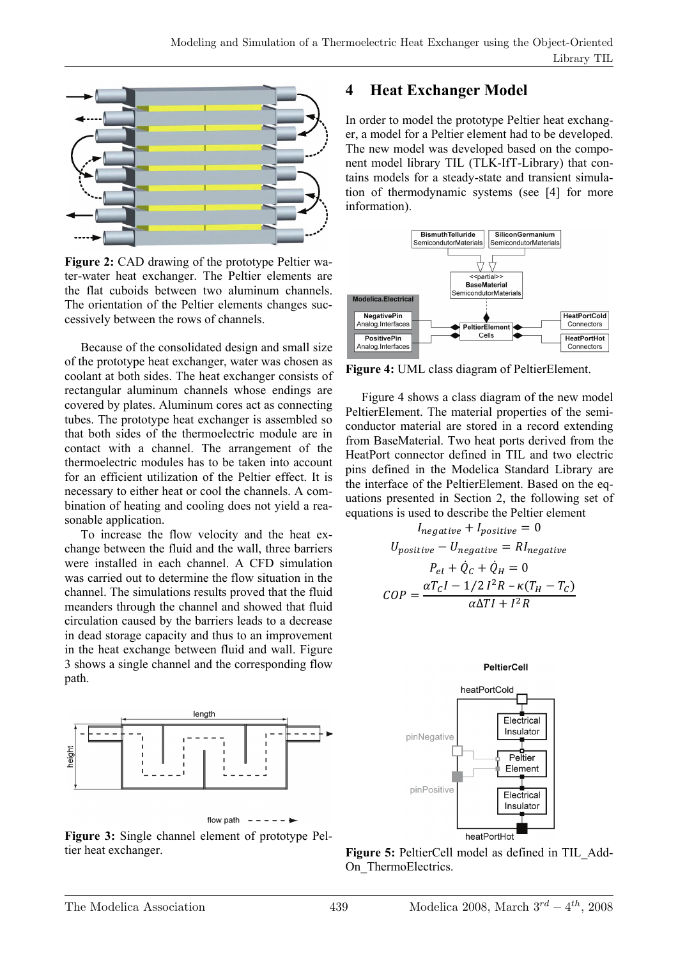

**Figure 2:** CAD drawing of the prototype Peltier water-water heat exchanger. The Peltier elements are the flat cuboids between two aluminum channels. The orientation of the Peltier elements changes successively between the rows of channels.

Because of the consolidated design and small size of the prototype heat exchanger, water was chosen as coolant at both sides. The heat exchanger consists of rectangular aluminum channels whose endings are covered by plates. Aluminum cores act as connecting tubes. The prototype heat exchanger is assembled so that both sides of the thermoelectric module are in contact with a channel. The arrangement of the thermoelectric modules has to be taken into account for an efficient utilization of the Peltier effect. It is necessary to either heat or cool the channels. A combination of heating and cooling does not yield a reasonable application.

To increase the flow velocity and the heat exchange between the fluid and the wall, three barriers were installed in each channel. A CFD simulation was carried out to determine the flow situation in the channel. The simulations results proved that the fluid meanders through the channel and showed that fluid circulation caused by the barriers leads to a decrease in dead storage capacity and thus to an improvement in the heat exchange between fluid and wall. Figure 3 shows a single channel and the corresponding flow path.



**Figure 3:** Single channel element of prototype Peltier heat exchanger.

## **4 Heat Exchanger Model**

In order to model the prototype Peltier heat exchanger, a model for a Peltier element had to be developed. The new model was developed based on the component model library TIL (TLK-IfT-Library) that contains models for a steady-state and transient simulation of thermodynamic systems (see [4] for more information).



**Figure 4:** UML class diagram of PeltierElement.

Figure 4 shows a class diagram of the new model PeltierElement. The material properties of the semiconductor material are stored in a record extending from BaseMaterial. Two heat ports derived from the HeatPort connector defined in TIL and two electric pins defined in the Modelica Standard Library are the interface of the PeltierElement. Based on the equations presented in Section 2, the following set of equations is used to describe the Peltier element

$$
I_{negative} + I_{positive} = 0
$$
  
\n
$$
U_{positive} - U_{negative} = RI_{negative}
$$
  
\n
$$
P_{el} + \dot{Q}_C + \dot{Q}_H = 0
$$
  
\n
$$
COP = \frac{\alpha T_C I - 1/2 I^2 R - \kappa (T_H - T_C)}{\alpha \Delta T I + I^2 R}
$$





Figure 5: PeltierCell model as defined in TIL Add-On ThermoElectrics.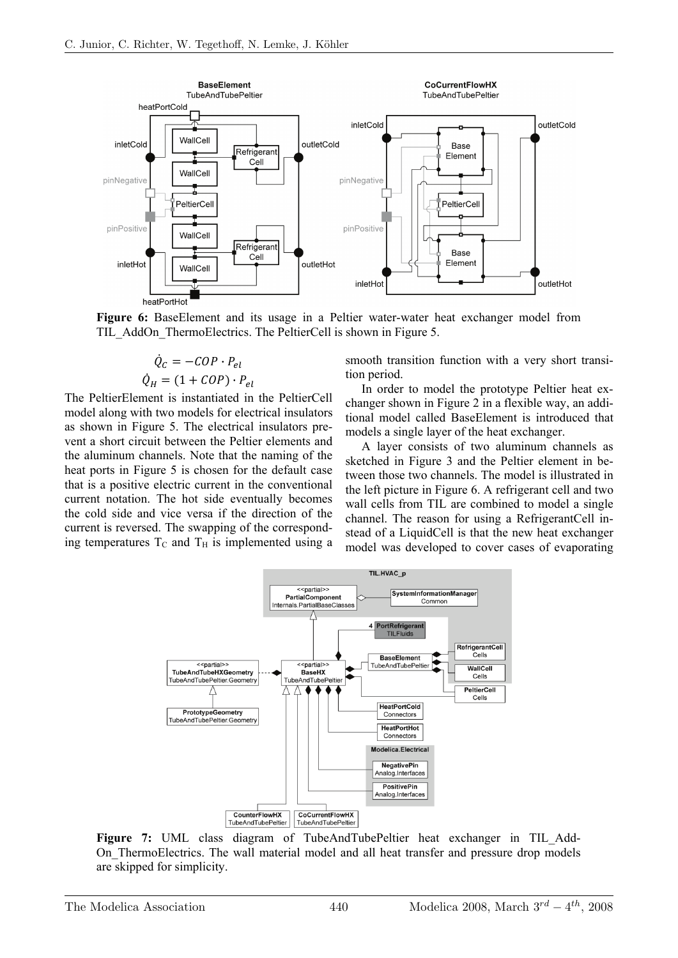

**Figure 6:** BaseElement and its usage in a Peltier water-water heat exchanger model from TIL\_AddOn\_ThermoElectrics. The PeltierCell is shown in Figure 5.

$$
\dot{Q}_C = -COP \cdot P_{el}
$$

$$
\dot{Q}_H = (1 + COP) \cdot P_{el}
$$

The PeltierElement is instantiated in the PeltierCell model along with two models for electrical insulators as shown in Figure 5. The electrical insulators prevent a short circuit between the Peltier elements and the aluminum channels. Note that the naming of the heat ports in Figure 5 is chosen for the default case that is a positive electric current in the conventional current notation. The hot side eventually becomes the cold side and vice versa if the direction of the current is reversed. The swapping of the corresponding temperatures  $T_c$  and  $T_H$  is implemented using a

smooth transition function with a very short transition period.

In order to model the prototype Peltier heat exchanger shown in Figure 2 in a flexible way, an additional model called BaseElement is introduced that models a single layer of the heat exchanger.

A layer consists of two aluminum channels as sketched in Figure 3 and the Peltier element in between those two channels. The model is illustrated in the left picture in Figure 6. A refrigerant cell and two wall cells from TIL are combined to model a single channel. The reason for using a RefrigerantCell instead of a LiquidCell is that the new heat exchanger model was developed to cover cases of evaporating



**Figure 7:** UML class diagram of TubeAndTubePeltier heat exchanger in TIL Add-On ThermoElectrics. The wall material model and all heat transfer and pressure drop models are skipped for simplicity.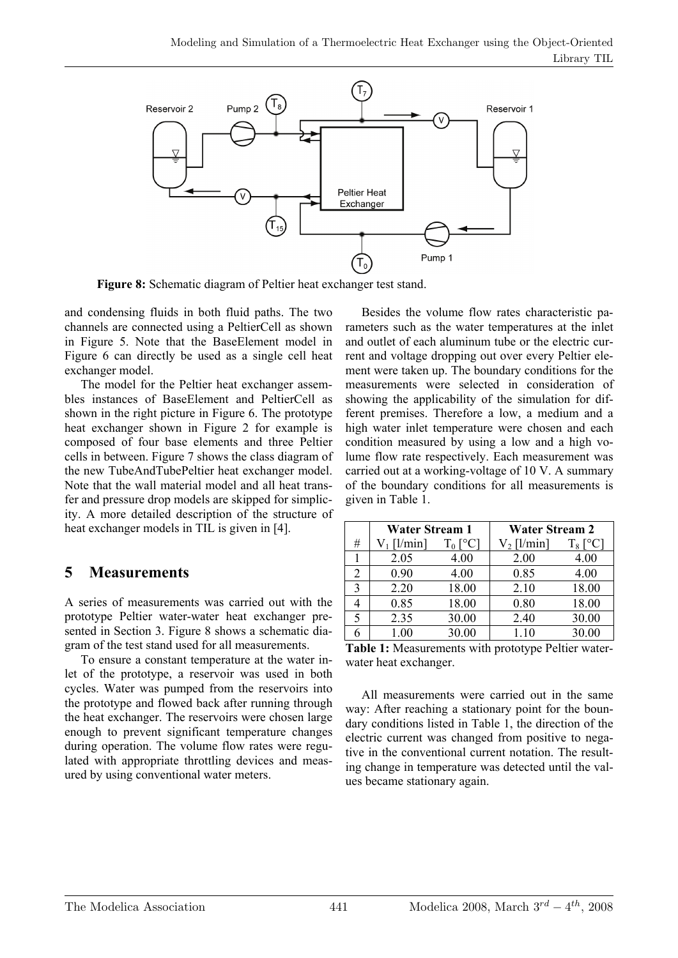

**Figure 8:** Schematic diagram of Peltier heat exchanger test stand.

and condensing fluids in both fluid paths. The two channels are connected using a PeltierCell as shown in Figure 5. Note that the BaseElement model in Figure 6 can directly be used as a single cell heat exchanger model.

The model for the Peltier heat exchanger assembles instances of BaseElement and PeltierCell as shown in the right picture in Figure 6. The prototype heat exchanger shown in Figure 2 for example is composed of four base elements and three Peltier cells in between. Figure 7 shows the class diagram of the new TubeAndTubePeltier heat exchanger model. Note that the wall material model and all heat transfer and pressure drop models are skipped for simplicity. A more detailed description of the structure of heat exchanger models in TIL is given in [4].

## **5 Measurements**

A series of measurements was carried out with the prototype Peltier water-water heat exchanger presented in Section 3. Figure 8 shows a schematic diagram of the test stand used for all measurements.

To ensure a constant temperature at the water inlet of the prototype, a reservoir was used in both cycles. Water was pumped from the reservoirs into the prototype and flowed back after running through the heat exchanger. The reservoirs were chosen large enough to prevent significant temperature changes during operation. The volume flow rates were regulated with appropriate throttling devices and measured by using conventional water meters.

Besides the volume flow rates characteristic parameters such as the water temperatures at the inlet and outlet of each aluminum tube or the electric current and voltage dropping out over every Peltier element were taken up. The boundary conditions for the measurements were selected in consideration of showing the applicability of the simulation for different premises. Therefore a low, a medium and a high water inlet temperature were chosen and each condition measured by using a low and a high volume flow rate respectively. Each measurement was carried out at a working-voltage of 10 V. A summary of the boundary conditions for all measurements is given in Table 1.

|   | <b>Water Stream 1</b> |            | <b>Water Stream 2</b> |       |
|---|-----------------------|------------|-----------------------|-------|
| # | [1/min]               | $T_0$ [°C] | $V_2$ [l/min]         | 8     |
|   | 2.05                  | 4.00       | 2.00                  | 4.00  |
| 2 | 0.90                  | 4.00       | 0.85                  | 4.00  |
| 3 | 2.20                  | 18.00      | 2.10                  | 18.00 |
|   | 0.85                  | 18.00      | 0.80                  | 18.00 |
| 5 | 2.35                  | 30.00      | 2.40                  | 30.00 |
|   | 1.00                  | 30.00      | 1.10                  | 30.00 |

**Table 1:** Measurements with prototype Peltier waterwater heat exchanger.

All measurements were carried out in the same way: After reaching a stationary point for the boundary conditions listed in Table 1, the direction of the electric current was changed from positive to negative in the conventional current notation. The resulting change in temperature was detected until the values became stationary again.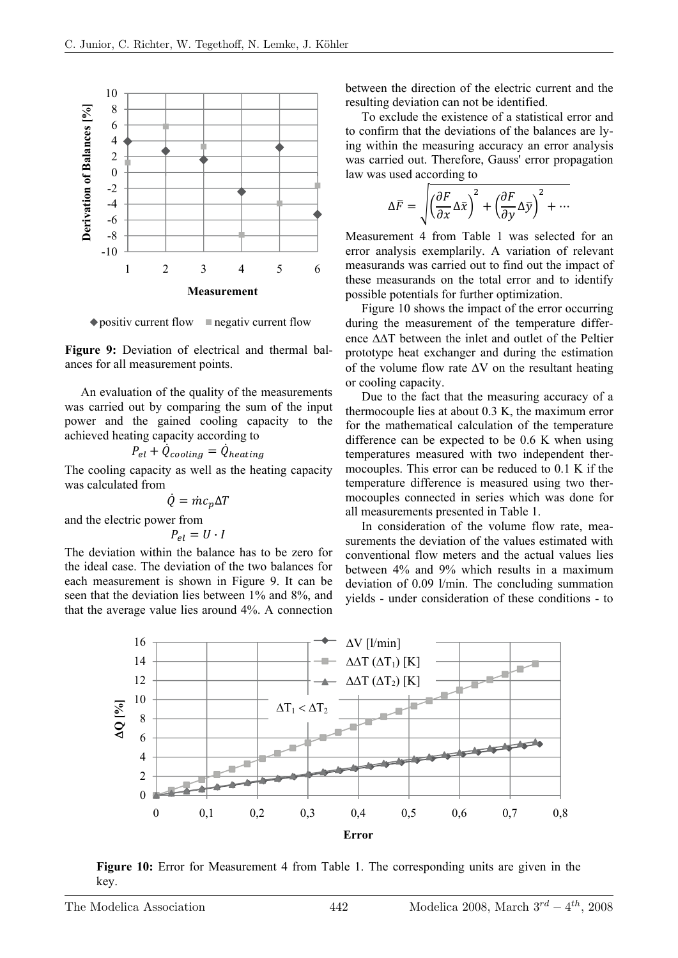

 $\bullet$  positiv current flow  $\blacksquare$  negativ current flow

**Figure 9:** Deviation of electrical and thermal balances for all measurement points.

An evaluation of the quality of the measurements was carried out by comparing the sum of the input power and the gained cooling capacity to the achieved heating capacity according to

$$
P_{el} + \dot{Q}_{cooling} = \dot{Q}_{heating}
$$

The cooling capacity as well as the heating capacity was calculated from

$$
\dot{Q} = \dot{m}c_p\Delta T
$$

and the electric power from

 $P_{el} = U \cdot I$ 

The deviation within the balance has to be zero for the ideal case. The deviation of the two balances for each measurement is shown in Figure 9. It can be seen that the deviation lies between 1% and 8%, and that the average value lies around 4%. A connection

between the direction of the electric current and the resulting deviation can not be identified.

To exclude the existence of a statistical error and to confirm that the deviations of the balances are lying within the measuring accuracy an error analysis was carried out. Therefore, Gauss' error propagation law was used according to

$$
\Delta \overline{F} = \sqrt{\left(\frac{\partial F}{\partial x} \Delta \overline{x}\right)^2 + \left(\frac{\partial F}{\partial y} \Delta \overline{y}\right)^2 + \cdots}
$$

Measurement 4 from Table 1 was selected for an error analysis exemplarily. A variation of relevant measurands was carried out to find out the impact of these measurands on the total error and to identify possible potentials for further optimization.

Figure 10 shows the impact of the error occurring during the measurement of the temperature difference ΔΔT between the inlet and outlet of the Peltier prototype heat exchanger and during the estimation of the volume flow rate  $\Delta V$  on the resultant heating or cooling capacity.

Due to the fact that the measuring accuracy of a thermocouple lies at about 0.3 K, the maximum error for the mathematical calculation of the temperature difference can be expected to be 0.6 K when using temperatures measured with two independent thermocouples. This error can be reduced to 0.1 K if the temperature difference is measured using two thermocouples connected in series which was done for all measurements presented in Table 1.

In consideration of the volume flow rate, measurements the deviation of the values estimated with conventional flow meters and the actual values lies between 4% and 9% which results in a maximum deviation of 0.09 l/min. The concluding summation yields - under consideration of these conditions - to



**Figure 10:** Error for Measurement 4 from Table 1. The corresponding units are given in the key.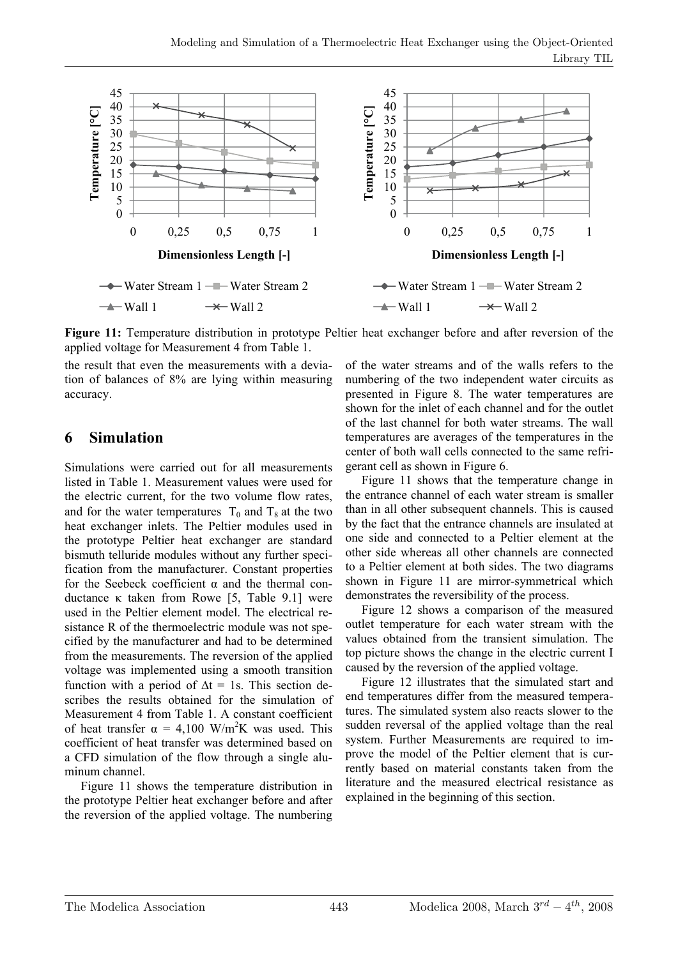

**Figure 11:** Temperature distribution in prototype Peltier heat exchanger before and after reversion of the applied voltage for Measurement 4 from Table 1.

the result that even the measurements with a deviation of balances of 8% are lying within measuring accuracy.

#### **6 Simulation**

Simulations were carried out for all measurements listed in Table 1. Measurement values were used for the electric current, for the two volume flow rates, and for the water temperatures  $T_0$  and  $T_8$  at the two heat exchanger inlets. The Peltier modules used in the prototype Peltier heat exchanger are standard bismuth telluride modules without any further specification from the manufacturer. Constant properties for the Seebeck coefficient  $\alpha$  and the thermal conductance κ taken from Rowe [5, Table 9.1] were used in the Peltier element model. The electrical resistance R of the thermoelectric module was not specified by the manufacturer and had to be determined from the measurements. The reversion of the applied voltage was implemented using a smooth transition function with a period of  $\Delta t = 1$ s. This section describes the results obtained for the simulation of Measurement 4 from Table 1. A constant coefficient of heat transfer  $\alpha = 4,100$  W/m<sup>2</sup>K was used. This coefficient of heat transfer was determined based on a CFD simulation of the flow through a single aluminum channel.

Figure 11 shows the temperature distribution in the prototype Peltier heat exchanger before and after the reversion of the applied voltage. The numbering

of the water streams and of the walls refers to the numbering of the two independent water circuits as presented in Figure 8. The water temperatures are shown for the inlet of each channel and for the outlet of the last channel for both water streams. The wall temperatures are averages of the temperatures in the center of both wall cells connected to the same refrigerant cell as shown in Figure 6.

Figure 11 shows that the temperature change in the entrance channel of each water stream is smaller than in all other subsequent channels. This is caused by the fact that the entrance channels are insulated at one side and connected to a Peltier element at the other side whereas all other channels are connected to a Peltier element at both sides. The two diagrams shown in Figure 11 are mirror-symmetrical which demonstrates the reversibility of the process.

Figure 12 shows a comparison of the measured outlet temperature for each water stream with the values obtained from the transient simulation. The top picture shows the change in the electric current I caused by the reversion of the applied voltage.

Figure 12 illustrates that the simulated start and end temperatures differ from the measured temperatures. The simulated system also reacts slower to the sudden reversal of the applied voltage than the real system. Further Measurements are required to improve the model of the Peltier element that is currently based on material constants taken from the literature and the measured electrical resistance as explained in the beginning of this section.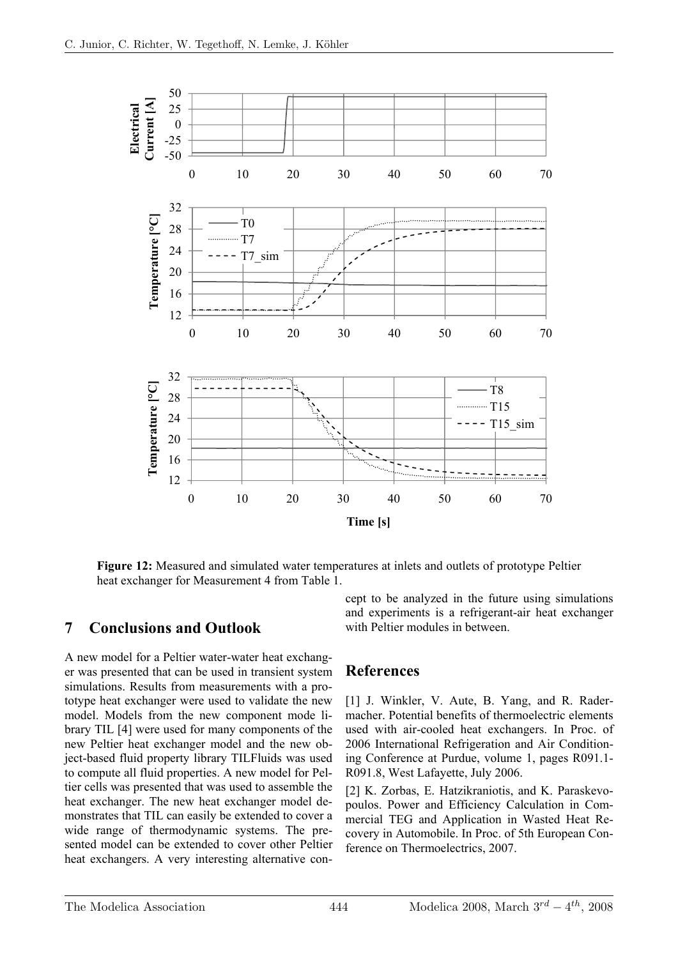

**Figure 12:** Measured and simulated water temperatures at inlets and outlets of prototype Peltier heat exchanger for Measurement 4 from Table 1.

#### **7 Conclusions and Outlook**

A new model for a Peltier water-water heat exchanger was presented that can be used in transient system simulations. Results from measurements with a prototype heat exchanger were used to validate the new model. Models from the new component mode library TIL [4] were used for many components of the new Peltier heat exchanger model and the new object-based fluid property library TILFluids was used to compute all fluid properties. A new model for Peltier cells was presented that was used to assemble the heat exchanger. The new heat exchanger model demonstrates that TIL can easily be extended to cover a wide range of thermodynamic systems. The presented model can be extended to cover other Peltier heat exchangers. A very interesting alternative concept to be analyzed in the future using simulations and experiments is a refrigerant-air heat exchanger with Peltier modules in between.

#### **References**

[1] J. Winkler, V. Aute, B. Yang, and R. Radermacher. Potential benefits of thermoelectric elements used with air-cooled heat exchangers. In Proc. of 2006 International Refrigeration and Air Conditioning Conference at Purdue, volume 1, pages R091.1- R091.8, West Lafayette, July 2006.

[2] K. Zorbas, E. Hatzikraniotis, and K. Paraskevopoulos. Power and Efficiency Calculation in Commercial TEG and Application in Wasted Heat Recovery in Automobile. In Proc. of 5th European Conference on Thermoelectrics, 2007.